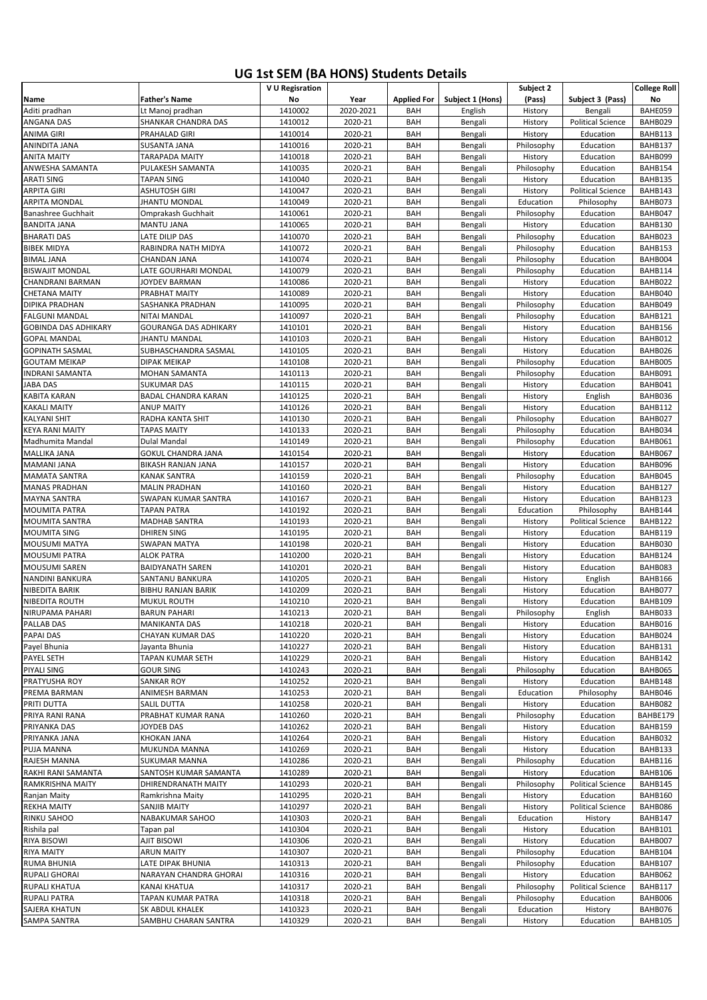## **UG 1st SEM (BA HONS) Students Details**

|                                              |                                         | V U Regisration    |                    |                    |                    | Subject 2                |                          | <b>College Roll</b> |
|----------------------------------------------|-----------------------------------------|--------------------|--------------------|--------------------|--------------------|--------------------------|--------------------------|---------------------|
| Name                                         | <b>Father's Name</b>                    | No                 | Year               | <b>Applied For</b> | Subject 1 (Hons)   | (Pass)                   | Subject 3 (Pass)         | No                  |
| Aditi pradhan                                | Lt Manoj pradhan                        | 1410002            | 2020-2021          | BAH                | English            | History                  | Bengali                  | BAHE059             |
| ANGANA DAS                                   | SHANKAR CHANDRA DAS                     | 1410012            | 2020-21            | BAH                | Bengali            | History                  | <b>Political Science</b> | BAHB029             |
| ANIMA GIRI                                   | PRAHALAD GIRI                           | 1410014            | 2020-21            | BAH                | Bengali            | History                  | Education                | BAHB113             |
| ANINDITA JANA                                | SUSANTA JANA                            | 1410016            | 2020-21            | BAH                | Bengali            | Philosophy               | Education                | BAHB137             |
| <b>ANITA MAITY</b>                           | TARAPADA MAITY                          | 1410018            | 2020-21            | BAH                | Bengali            | History                  | Education                | BAHB099             |
| ANWESHA SAMANTA                              | PULAKESH SAMANTA                        | 1410035            | 2020-21            | BAH                | Bengali            | Philosophy               | Education                | BAHB154             |
| <b>ARATI SING</b>                            | TAPAN SING                              | 1410040            | 2020-21            | BAH                | Bengali            | History                  | Education                | BAHB135             |
| <b>ARPITA GIRI</b>                           | <b>ASHUTOSH GIRI</b>                    | 1410047            | 2020-21            | BAH                | Bengali            | History                  | <b>Political Science</b> | BAHB143             |
| ARPITA MONDAL                                | JHANTU MONDAL                           | 1410049            | 2020-21            | BAH                | Bengali            | Education                | Philosophy               | BAHB073             |
| Banashree Guchhait                           | Omprakash Guchhait                      | 1410061            | 2020-21            | BAH                | Bengali            | Philosophy               | Education                | BAHB047             |
| <b>BANDITA JANA</b>                          | MANTU JANA                              | 1410065            | 2020-21            | BAH                | Bengali            | History                  | Education                | BAHB130             |
| <b>BHARATI DAS</b><br><b>BIBEK MIDYA</b>     | LATE DILIP DAS<br>RABINDRA NATH MIDYA   | 1410070<br>1410072 | 2020-21<br>2020-21 | BAH<br>BAH         | Bengali<br>Bengali | Philosophy<br>Philosophy | Education<br>Education   | BAHB023<br>BAHB153  |
| <b>BIMAL JANA</b>                            | CHANDAN JANA                            | 1410074            | 2020-21            | BAH                | Bengali            | Philosophy               | Education                | BAHB004             |
| <b>BISWAJIT MONDAL</b>                       | LATE GOURHARI MONDAL                    | 1410079            | 2020-21            | <b>BAH</b>         | Bengali            | Philosophy               | Education                | BAHB114             |
| CHANDRANI BARMAN                             | <b>JOYDEV BARMAN</b>                    | 1410086            | 2020-21            | BAH                | Bengali            | History                  | Education                | BAHB022             |
| <b>CHETANA MAITY</b>                         | PRABHAT MAITY                           | 1410089            | 2020-21            | BAH                | Bengali            | History                  | Education                | BAHB040             |
| DIPIKA PRADHAN                               | SASHANKA PRADHAN                        | 1410095            | 2020-21            | BAH                | Bengali            | Philosophy               | Education                | BAHB049             |
| <b>FALGUNI MANDAL</b>                        | NITAI MANDAL                            | 1410097            | 2020-21            | <b>BAH</b>         | Bengali            | Philosophy               | Education                | BAHB121             |
| <b>GOBINDA DAS ADHIKARY</b>                  | GOURANGA DAS ADHIKARY                   | 1410101            | 2020-21            | BAH                | Bengali            | History                  | Education                | BAHB156             |
| <b>GOPAL MANDAL</b>                          | <b>JHANTU MANDAL</b>                    | 1410103            | 2020-21            | BAH                | Bengali            | History                  | Education                | BAHB012             |
| <b>GOPINATH SASMAL</b>                       | SUBHASCHANDRA SASMAL                    | 1410105            | 2020-21            | BAH                | Bengali            | History                  | Education                | BAHB026             |
| <b>GOUTAM MEIKAP</b>                         | DIPAK MEIKAP                            | 1410108            | 2020-21            | BAH                | Bengali            | Philosophy               | Education                | BAHB005             |
| <b>INDRANI SAMANTA</b>                       | MOHAN SAMANTA                           | 1410113            | 2020-21            | BAH                | Bengali            | Philosophy               | Education                | BAHB091             |
| JABA DAS                                     | <b>SUKUMAR DAS</b>                      | 1410115            | 2020-21            | BAH                | Bengali            | History                  | Education                | BAHB041             |
| <b>KABITA KARAN</b>                          | BADAL CHANDRA KARAN                     | 1410125            | 2020-21            | BAH                | Bengali            | History                  | English                  | BAHB036             |
| <b>KAKALI MAITY</b>                          | <b>ANUP MAITY</b>                       | 1410126            | 2020-21            | BAH                | Bengali            | History                  | Education                | BAHB112             |
| <b>KALYANI SHIT</b>                          | RADHA KANTA SHIT                        | 1410130            | 2020-21            | BAH                | Bengali            | Philosophy               | Education                | BAHB027             |
| <b>KEYA RANI MAITY</b>                       | TAPAS MAITY                             | 1410133            | 2020-21            | <b>BAH</b>         | Bengali            | Philosophy               | Education                | BAHB034             |
| Madhumita Mandal                             | <b>Dulal Mandal</b>                     | 1410149            | 2020-21            | BAH                | Bengali            | Philosophy               | Education                | BAHB061             |
| <b>MALLIKA JANA</b>                          | GOKUL CHANDRA JANA                      | 1410154            | 2020-21            | BAH                | Bengali            | History                  | Education                | BAHB067             |
| MAMANI JANA                                  | BIKASH RANJAN JANA                      | 1410157            | 2020-21            | BAH                | Bengali            | History<br>Philosophy    | Education                | BAHB096<br>BAHB045  |
| <b>MAMATA SANTRA</b><br><b>MANAS PRADHAN</b> | KANAK SANTRA<br><b>MALIN PRADHAN</b>    | 1410159<br>1410160 | 2020-21<br>2020-21 | BAH<br>BAH         | Bengali            | History                  | Education<br>Education   | BAHB127             |
| <b>MAYNA SANTRA</b>                          | SWAPAN KUMAR SANTRA                     | 1410167            | 2020-21            | BAH                | Bengali<br>Bengali | History                  | Education                | BAHB123             |
| <b>MOUMITA PATRA</b>                         | TAPAN PATRA                             | 1410192            | 2020-21            | BAH                | Bengali            | Education                | Philosophy               | BAHB144             |
| MOUMITA SANTRA                               | MADHAB SANTRA                           | 1410193            | 2020-21            | BAH                | Bengali            | History                  | <b>Political Science</b> | BAHB122             |
| <b>MOUMITA SING</b>                          | DHIREN SING                             | 1410195            | 2020-21            | BAH                | Bengali            | History                  | Education                | BAHB119             |
| MOUSUMI MATYA                                | SWAPAN MATYA                            | 1410198            | 2020-21            | BAH                | Bengali            | History                  | Education                | BAHB030             |
| <b>MOUSUMI PATRA</b>                         | ALOK PATRA                              | 1410200            | 2020-21            | BAH                | Bengali            | History                  | Education                | BAHB124             |
| <b>MOUSUMI SAREN</b>                         | <b>BAIDYANATH SAREN</b>                 | 1410201            | 2020-21            | BAH                | Bengali            | History                  | Education                | BAHB083             |
| <b>NANDINI BANKURA</b>                       | SANTANU BANKURA                         | 1410205            | 2020-21            | BAH                | Bengali            | History                  | English                  | BAHB166             |
| <b>NIBEDITA BARIK</b>                        | <b>BIBHU RANJAN BARIK</b>               | 1410209            | 2020-21            | BAH                | Bengali            | History                  | Education                | BAHB077             |
| <b>NIBEDITA ROUTH</b>                        | <b>MUKUL ROUTH</b>                      | 1410210            | 2020-21            | BAH                | Bengali            | History                  | Education                | BAHB109             |
| NIRUPAMA PAHARI                              | <b>BARUN PAHARI</b>                     | 1410213            | 2020-21            | BAH                | Bengali            | Philosophy               | English                  | BAHB033             |
| <b>PALLAB DAS</b>                            | MANIKANTA DAS                           | 1410218            | 2020-21            | BAH                | Bengali            | History                  | Education                | BAHB016             |
| PAPAI DAS                                    | CHAYAN KUMAR DAS                        | 1410220            | 2020-21            | BAH                | Bengali            | History                  | Education                | BAHB024             |
| Payel Bhunia                                 | Jayanta Bhunia                          | 1410227            | 2020-21            | BAH                | Bengali            | History                  | Education                | BAHB131             |
| PAYEL SETH                                   | TAPAN KUMAR SETH                        | 1410229            | 2020-21            | BAH                | Bengali            | History                  | Education                | BAHB142             |
| <b>PIYALI SING</b>                           | <b>GOUR SING</b>                        | 1410243            | 2020-21            | BAH                | Bengali            | Philosophy               | Education                | BAHB065             |
| PRATYUSHA ROY                                | SANKAR ROY                              | 1410252            | 2020-21            | BAH                | Bengali            | History                  | Education                | BAHB148             |
| PREMA BARMAN<br>PRITI DUTTA                  | ANIMESH BARMAN<br>SALIL DUTTA           | 1410253<br>1410258 | 2020-21<br>2020-21 | BAH                | Bengali            | Education                | Philosophy<br>Education  | BAHB046<br>BAHB082  |
|                                              |                                         |                    |                    | BAH                | Bengali            | History                  |                          |                     |
| PRIYA RANI RANA<br>PRIYANKA DAS              | PRABHAT KUMAR RANA<br><b>JOYDEB DAS</b> | 1410260<br>1410262 | 2020-21<br>2020-21 | BAH<br>BAH         | Bengali<br>Bengali | Philosophy<br>History    | Education<br>Education   | BAHBE179<br>BAHB159 |
| PRIYANKA JANA                                | KHOKAN JANA                             | 1410264            | 2020-21            | BAH                | Bengali            | History                  | Education                | BAHB032             |
| PUJA MANNA                                   | MUKUNDA MANNA                           | 1410269            | 2020-21            | BAH                | Bengali            | History                  | Education                | BAHB133             |
| RAJESH MANNA                                 | SUKUMAR MANNA                           | 1410286            | 2020-21            | BAH                | Bengali            | Philosophy               | Education                | BAHB116             |
| RAKHI RANI SAMANTA                           | SANTOSH KUMAR SAMANTA                   | 1410289            | 2020-21            | BAH                | Bengali            | History                  | Education                | BAHB106             |
| <b>RAMKRISHNA MAITY</b>                      | DHIRENDRANATH MAITY                     | 1410293            | 2020-21            | BAH                | Bengali            | Philosophy               | <b>Political Science</b> | BAHB145             |
| Ranjan Maity                                 | Ramkrishna Maity                        | 1410295            | 2020-21            | BAH                | Bengali            | History                  | Education                | BAHB160             |
| <b>REKHA MAITY</b>                           | SANJIB MAITY                            | 1410297            | 2020-21            | BAH                | Bengali            | History                  | <b>Political Science</b> | BAHB086             |
| <b>RINKU SAHOO</b>                           | NABAKUMAR SAHOO                         | 1410303            | 2020-21            | BAH                | Bengali            | Education                | History                  | BAHB147             |
| Rishila pal                                  | Tapan pal                               | 1410304            | 2020-21            | BAH                | Bengali            | History                  | Education                | BAHB101             |
| <b>RIYA BISOWI</b>                           | AJIT BISOWI                             | 1410306            | 2020-21            | BAH                | Bengali            | History                  | Education                | BAHB007             |
| <b>RIYA MAITY</b>                            | <b>ARUN MAITY</b>                       | 1410307            | 2020-21            | BAH                | Bengali            | Philosophy               | Education                | BAHB104             |
| <b>RUMA BHUNIA</b>                           | LATE DIPAK BHUNIA                       | 1410313            | 2020-21            | BAH                | Bengali            | Philosophy               | Education                | BAHB107             |
| <b>RUPALI GHORAI</b>                         | NARAYAN CHANDRA GHORAI                  | 1410316            | 2020-21            | BAH                | Bengali            | History                  | Education                | BAHB062             |
| <b>RUPALI KHATUA</b>                         | KANAI KHATUA                            | 1410317            | 2020-21            | BAH                | Bengali            | Philosophy               | <b>Political Science</b> | BAHB117             |
| <b>RUPALI PATRA</b>                          | TAPAN KUMAR PATRA                       | 1410318            | 2020-21            | BAH                | Bengali            | Philosophy               | Education                | BAHB006             |
| <b>SAJERA KHATUN</b><br><b>SAMPA SANTRA</b>  | SK ABDUL KHALEK<br>SAMBHU CHARAN SANTRA | 1410323<br>1410329 | 2020-21<br>2020-21 | BAH<br>BAH         | Bengali            | Education                | History<br>Education     | BAHB076<br>BAHB105  |
|                                              |                                         |                    |                    |                    | Bengali            | History                  |                          |                     |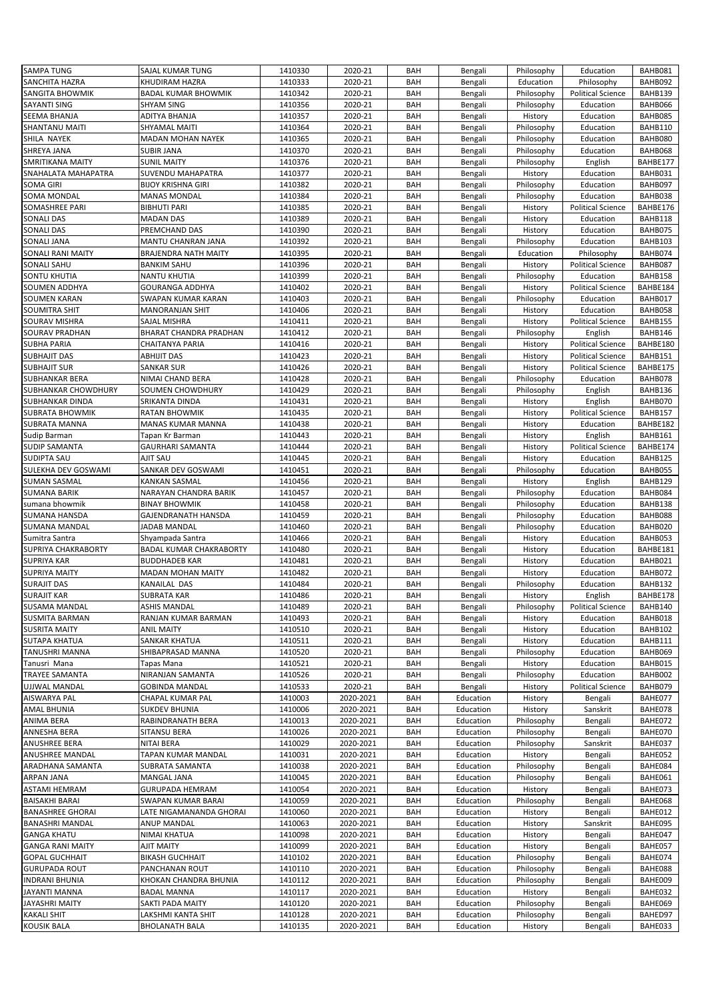| <b>SAMPA TUNG</b>       | SAJAL KUMAR TUNG           | 1410330 | 2020-21   | BAH        | Bengali   | Philosophy     | Education                | BAHB081  |
|-------------------------|----------------------------|---------|-----------|------------|-----------|----------------|--------------------------|----------|
| SANCHITA HAZRA          | KHUDIRAM HAZRA             | 1410333 | 2020-21   | BAH        | Bengali   | Education      | Philosophy               | BAHB092  |
| <b>SANGITA BHOWMIK</b>  | <b>BADAL KUMAR BHOWMIK</b> | 1410342 |           | BAH        |           | Philosophy     | <b>Political Science</b> | BAHB139  |
|                         |                            |         | 2020-21   |            | Bengali   |                |                          |          |
| SAYANTI SING            | SHYAM SING                 | 1410356 | 2020-21   | BAH        | Bengali   | Philosophy     | Education                | BAHB066  |
| SEEMA BHANJA            | ADITYA BHANJA              | 1410357 | 2020-21   | BAH        | Bengali   | History        | Education                | BAHB085  |
| SHANTANU MAITI          | SHYAMAL MAITI              | 1410364 | 2020-21   | BAH        | Bengali   | Philosophy     | Education                | BAHB110  |
| SHILA NAYEK             | MADAN MOHAN NAYEK          | 1410365 | 2020-21   | BAH        | Bengali   | Philosophy     | Education                | BAHB080  |
| SHREYA JANA             | SUBIR JANA                 | 1410370 | 2020-21   | BAH        | Bengali   | Philosophy     | Education                | BAHB068  |
| SMRITIKANA MAITY        | <b>SUNIL MAITY</b>         | 1410376 | 2020-21   | BAH        | Bengali   | Philosophy     | English                  | BAHBE177 |
| SNAHALATA MAHAPATRA     | SUVENDU MAHAPATRA          | 1410377 | 2020-21   | BAH        | Bengali   | History        | Education                | BAHB031  |
| SOMA GIRI               | <b>BIJOY KRISHNA GIRI</b>  | 1410382 | 2020-21   | BAH        | Bengali   | Philosophy     | Education                | BAHB097  |
|                         |                            |         | 2020-21   | BAH        |           |                |                          |          |
| SOMA MONDAL             | <b>MANAS MONDAL</b>        | 1410384 |           |            | Bengali   | Philosophy     | Education                | BAHB038  |
| SOMASHREE PARI          | <b>BIBHUTI PARI</b>        | 1410385 | 2020-21   | BAH        | Bengali   | History        | <b>Political Science</b> | BAHBE176 |
| <b>SONALI DAS</b>       | <b>MADAN DAS</b>           | 1410389 | 2020-21   | BAH        | Bengali   | History        | Education                | BAHB118  |
| SONALI DAS              | PREMCHAND DAS              | 1410390 | 2020-21   | BAH        | Bengali   | History        | Education                | BAHB075  |
| SONALI JANA             | MANTU CHANRAN JANA         | 1410392 | 2020-21   | BAH        | Bengali   | Philosophy     | Education                | BAHB103  |
| SONALI RANI MAITY       | BRAJENDRA NATH MAITY       | 1410395 | 2020-21   | BAH        | Bengali   | Education      | Philosophy               | BAHB074  |
| <b>SONALI SAHU</b>      | <b>BANKIM SAHU</b>         | 1410396 | 2020-21   | BAH        | Bengali   | History        | <b>Political Science</b> | BAHB087  |
| SONTU KHUTIA            | NANTU KHUTIA               | 1410399 | 2020-21   | BAH        | Bengali   | Philosophy     | Education                | BAHB158  |
| SOUMEN ADDHYA           | <b>GOURANGA ADDHYA</b>     | 1410402 | 2020-21   | <b>BAH</b> | Bengali   | History        | <b>Political Science</b> | BAHBE184 |
|                         |                            |         |           |            |           |                |                          |          |
| SOUMEN KARAN            | SWAPAN KUMAR KARAN         | 1410403 | 2020-21   | BAH        | Bengali   | Philosophy     | Education                | BAHB017  |
| <b>SOUMITRA SHIT</b>    | <b>MANORANJAN SHIT</b>     | 1410406 | 2020-21   | BAH        | Bengali   | History        | Education                | BAHB058  |
| SOURAV MISHRA           | SAJAL MISHRA               | 1410411 | 2020-21   | BAH        | Bengali   | History        | <b>Political Science</b> | BAHB155  |
| SOURAV PRADHAN          | BHARAT CHANDRA PRADHAN     | 1410412 | 2020-21   | BAH        | Bengali   | Philosophy     | English                  | BAHB146  |
| SUBHA PARIA             | CHAITANYA PARIA            | 1410416 | 2020-21   | BAH        | Bengali   | History        | <b>Political Science</b> | BAHBE180 |
| <b>SUBHAJIT DAS</b>     | ABHIJIT DAS                | 1410423 | 2020-21   | BAH        | Bengali   | History        | <b>Political Science</b> | BAHB151  |
| <b>SUBHAJIT SUR</b>     | <b>SANKAR SUR</b>          | 1410426 | 2020-21   | BAH        | Bengali   | History        | <b>Political Science</b> | BAHBE175 |
| <b>SUBHANKAR BERA</b>   | NIMAI CHAND BERA           | 1410428 | 2020-21   | BAH        | Bengali   | Philosophy     | Education                | BAHB078  |
| SUBHANKAR CHOWDHURY     | SOUMEN CHOWDHURY           | 1410429 | 2020-21   | BAH        | Bengali   | Philosophy     | English                  | BAHB136  |
|                         |                            |         |           |            |           |                |                          |          |
| SUBHANKAR DINDA         | SRIKANTA DINDA             | 1410431 | 2020-21   | <b>BAH</b> | Bengali   | History        | English                  | BAHB070  |
| <b>SUBRATA BHOWMIK</b>  | <b>RATAN BHOWMIK</b>       | 1410435 | 2020-21   | BAH        | Bengali   | History        | <b>Political Science</b> | BAHB157  |
| SUBRATA MANNA           | MANAS KUMAR MANNA          | 1410438 | 2020-21   | BAH        | Bengali   | History        | Education                | BAHBE182 |
| Sudip Barman            | Tapan Kr Barman            | 1410443 | 2020-21   | BAH        | Bengali   | History        | English                  | BAHB161  |
| <b>SUDIP SAMANTA</b>    | <b>GAURHARI SAMANTA</b>    | 1410444 | 2020-21   | BAH        | Bengali   | History        | <b>Political Science</b> | BAHBE174 |
| <b>SUDIPTA SAU</b>      | AJIT SAU                   | 1410445 | 2020-21   | BAH        | Bengali   | History        | Education                | BAHB125  |
| SULEKHA DEV GOSWAMI     | SANKAR DEV GOSWAMI         | 1410451 | 2020-21   | BAH        | Bengali   | Philosophy     | Education                | BAHB055  |
| <b>SUMAN SASMAL</b>     | KANKAN SASMAL              | 1410456 | 2020-21   | BAH        | Bengali   | History        | English                  | BAHB129  |
| <b>SUMANA BARIK</b>     | NARAYAN CHANDRA BARIK      | 1410457 | 2020-21   | BAH        |           | Philosophy     | Education                | BAHB084  |
|                         |                            |         |           |            | Bengali   |                |                          |          |
| sumana bhowmik          | <b>BINAY BHOWMIK</b>       | 1410458 | 2020-21   | BAH        | Bengali   | Philosophy     | Education                | BAHB138  |
| SUMANA HANSDA           | GAJENDRANATH HANSDA        | 1410459 | 2020-21   | BAH        | Bengali   | Philosophy     | Education                | BAHB088  |
| SUMANA MANDAL           | JADAB MANDAL               | 1410460 | 2020-21   | BAH        | Bengali   | Philosophy     | Education                | BAHB020  |
| Sumitra Santra          | Shyampada Santra           | 1410466 | 2020-21   | BAH        | Bengali   | History        | Education                | BAHB053  |
| SUPRIYA CHAKRABORTY     | BADAL KUMAR CHAKRABORTY    | 1410480 | 2020-21   | BAH        | Bengali   | History        | Education                | BAHBE181 |
| <b>SUPRIYA KAR</b>      | <b>BUDDHADEB KAR</b>       | 1410481 | 2020-21   | BAH        | Bengali   | History        | Education                | BAHB021  |
| <b>SUPRIYA MAITY</b>    | <b>MADAN MOHAN MAITY</b>   | 1410482 | 2020-21   | <b>BAH</b> | Bengali   | History        | Education                | BAHB072  |
| <b>SURAJIT DAS</b>      | KANAILAL DAS               | 1410484 | 2020-21   | BAH        | Bengali   | Philosophy     | Education                | BAHB132  |
| <b>SURAJIT KAR</b>      | <b>SUBRATA KAR</b>         | 1410486 | 2020-21   | BAH        |           | <b>History</b> | English                  | BAHBE178 |
|                         |                            |         |           |            | Bengali   |                |                          |          |
| SUSAMA MANDAL           | <b>ASHIS MANDAL</b>        | 1410489 | 2020-21   | BAH        | Bengali   | Philosophy     | <b>Political Science</b> | BAHB140  |
| <b>SUSMITA BARMAN</b>   | RANJAN KUMAR BARMAN        | 1410493 | 2020-21   | BAH        | Bengali   | History        | Education                | BAHB018  |
| <b>SUSRITA MAITY</b>    | <b>ANIL MAITY</b>          | 1410510 | 2020-21   | BAH        | Bengali   | History        | Education                | BAHB102  |
| SUTAPA KHATUA           | SANKAR KHATUA              | 1410511 | 2020-21   | BAH        | Bengali   | History        | Education                | BAHB111  |
| TANUSHRI MANNA          | SHIBAPRASAD MANNA          | 1410520 | 2020-21   | BAH        | Bengali   | Philosophy     | Education                | BAHB069  |
| Tanusri Mana            | Tapas Mana                 | 1410521 | 2020-21   | BAH        | Bengali   | History        | Education                | BAHB015  |
| TRAYEE SAMANTA          | NIRANJAN SAMANTA           | 1410526 | 2020-21   | BAH        | Bengali   | Philosophy     | Education                | BAHB002  |
| UJJWAL MANDAL           | <b>GOBINDA MANDAL</b>      | 1410533 | 2020-21   | BAH        | Bengali   | History        | <b>Political Science</b> | BAHB079  |
|                         |                            | 1410003 |           |            | Education |                |                          |          |
| AISWARYA PAL            | CHAPAL KUMAR PAL           |         | 2020-2021 | BAH        |           | History        | Bengali                  | BAHE077  |
| AMAL BHUNIA             | <b>SUKDEV BHUNIA</b>       | 1410006 | 2020-2021 | BAH        | Education | History        | Sanskrit                 | BAHE078  |
| ANIMA BERA              | RABINDRANATH BERA          | 1410013 | 2020-2021 | BAH        | Education | Philosophy     | Bengali                  | BAHE072  |
| ANNESHA BERA            | SITANSU BERA               | 1410026 | 2020-2021 | BAH        | Education | Philosophy     | Bengali                  | BAHE070  |
| ANUSHREE BERA           | NITAI BERA                 | 1410029 | 2020-2021 | BAH        | Education | Philosophy     | Sanskrit                 | BAHE037  |
| ANUSHREE MANDAL         | TAPAN KUMAR MANDAL         | 1410031 | 2020-2021 | BAH        | Education | History        | Bengali                  | BAHE052  |
| ARADHANA SAMANTA        | SUBRATA SAMANTA            | 1410038 | 2020-2021 | BAH        | Education | Philosophy     | Bengali                  | BAHE084  |
| ARPAN JANA              | MANGAL JANA                | 1410045 | 2020-2021 | BAH        | Education | Philosophy     | Bengali                  | BAHE061  |
|                         |                            |         |           |            |           |                |                          |          |
| ASTAMI HEMRAM           | GURUPADA HEMRAM            | 1410054 | 2020-2021 | BAH        | Education | History        | Bengali                  | BAHE073  |
| <b>BAISAKHI BARAI</b>   | SWAPAN KUMAR BARAI         | 1410059 | 2020-2021 | BAH        | Education | Philosophy     | Bengali                  | BAHE068  |
| <b>BANASHREE GHORAI</b> | LATE NIGAMANANDA GHORAI    | 1410060 | 2020-2021 | BAH        | Education | History        | Bengali                  | BAHE012  |
| <b>BANASHRI MANDAL</b>  | ANUP MANDAL                | 1410063 | 2020-2021 | BAH        | Education | History        | Sanskrit                 | BAHE095  |
| <b>GANGA KHATU</b>      | NIMAI KHATUA               | 1410098 | 2020-2021 | BAH        | Education | History        | Bengali                  | BAHE047  |
| <b>GANGA RANI MAITY</b> | AJIT MAITY                 | 1410099 | 2020-2021 | BAH        | Education | History        | Bengali                  | BAHE057  |
| <b>GOPAL GUCHHAIT</b>   | <b>BIKASH GUCHHAIT</b>     | 1410102 | 2020-2021 | BAH        | Education | Philosophy     | Bengali                  | BAHE074  |
| <b>GURUPADA ROUT</b>    | PANCHANAN ROUT             | 1410110 | 2020-2021 | BAH        | Education | Philosophy     | Bengali                  | BAHE088  |
| <b>INDRANI BHUNIA</b>   | KHOKAN CHANDRA BHUNIA      | 1410112 | 2020-2021 | BAH        | Education | Philosophy     |                          |          |
|                         |                            |         |           |            |           |                | Bengali                  | BAHE009  |
| <b>JAYANTI MANNA</b>    | <b>BADAL MANNA</b>         | 1410117 | 2020-2021 | BAH        | Education | History        | Bengali                  | BAHE032  |
| JAYASHRI MAITY          | SAKTI PADA MAITY           | 1410120 | 2020-2021 | BAH        | Education | Philosophy     | Bengali                  | BAHE069  |
| <b>KAKALI SHIT</b>      | LAKSHMI KANTA SHIT         | 1410128 | 2020-2021 | BAH        | Education | Philosophy     | Bengali                  | BAHED97  |
| <b>KOUSIK BALA</b>      | <b>BHOLANATH BALA</b>      | 1410135 | 2020-2021 | BAH        | Education | History        | Bengali                  | BAHE033  |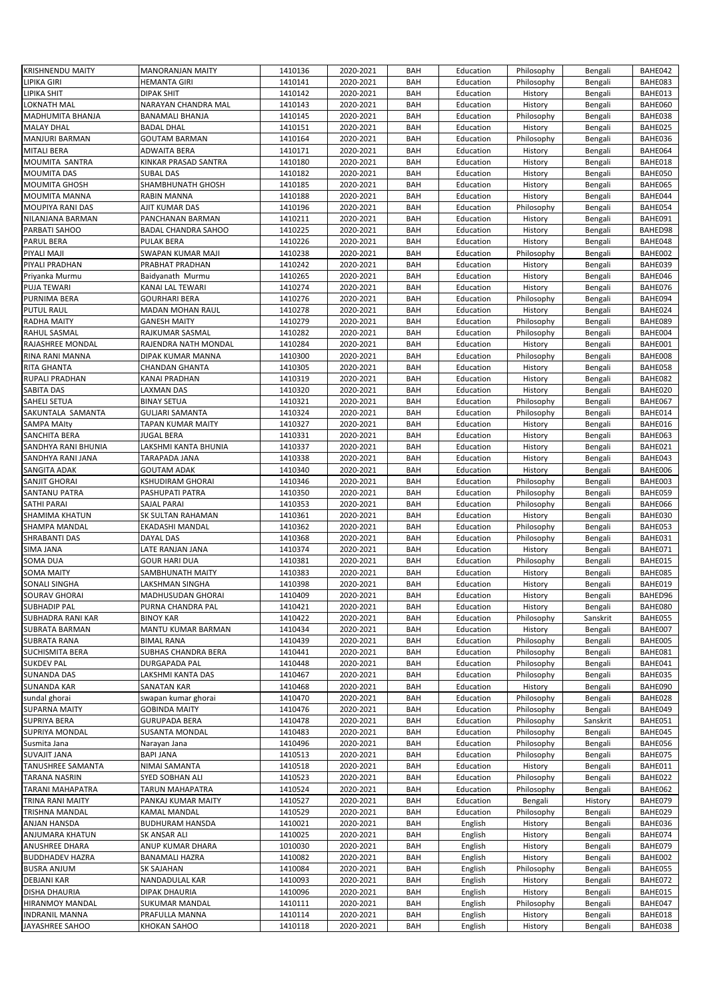| <b>KRISHNENDU MAITY</b> | <b>MANORANJAN MAITY</b>    | 1410136 | 2020-2021 | BAH        | Education | Philosophy | Bengali  | BAHE042        |
|-------------------------|----------------------------|---------|-----------|------------|-----------|------------|----------|----------------|
|                         | <b>HEMANTA GIRI</b>        | 1410141 | 2020-2021 | BAH        |           |            |          | BAHE083        |
| LIPIKA GIRI             |                            |         |           |            | Education | Philosophy | Bengali  |                |
| LIPIKA SHIT             | <b>DIPAK SHIT</b>          | 1410142 | 2020-2021 | BAH        | Education | History    | Bengali  | BAHE013        |
| LOKNATH MAL             | NARAYAN CHANDRA MAL        | 1410143 | 2020-2021 | BAH        | Education | History    | Bengali  | <b>BAHE060</b> |
| MADHUMITA BHANJA        | <b>BANAMALI BHANJA</b>     | 1410145 | 2020-2021 | BAH        | Education | Philosophy | Bengali  | BAHE038        |
| <b>MALAY DHAL</b>       | <b>BADAL DHAL</b>          | 1410151 | 2020-2021 | BAH        | Education | History    | Bengali  | BAHE025        |
| MANJURI BARMAN          | <b>GOUTAM BARMAN</b>       | 1410164 | 2020-2021 | BAH        | Education | Philosophy | Bengali  | BAHE036        |
| <b>MITALI BERA</b>      | ADWAITA BERA               | 1410171 | 2020-2021 | BAH        | Education | History    | Bengali  | BAHE064        |
| MOUMITA SANTRA          | KINKAR PRASAD SANTRA       | 1410180 | 2020-2021 | BAH        | Education | History    |          | BAHE018        |
|                         |                            |         |           |            |           |            | Bengali  |                |
| <b>MOUMITA DAS</b>      | <b>SUBAL DAS</b>           | 1410182 | 2020-2021 | BAH        | Education | History    | Bengali  | BAHE050        |
| <b>MOUMITA GHOSH</b>    | SHAMBHUNATH GHOSH          | 1410185 | 2020-2021 | BAH        | Education | History    | Bengali  | BAHE065        |
| MOUMITA MANNA           | <b>RABIN MANNA</b>         | 1410188 | 2020-2021 | BAH        | Education | History    | Bengali  | BAHE044        |
| MOUPIYA RANI DAS        | AJIT KUMAR DAS             | 1410196 | 2020-2021 | <b>BAH</b> | Education | Philosophy | Bengali  | BAHE054        |
| NILANJANA BARMAN        | PANCHANAN BARMAN           | 1410211 | 2020-2021 | <b>BAH</b> | Education | History    | Bengali  | BAHE091        |
| PARBATI SAHOO           | <b>BADAL CHANDRA SAHOO</b> | 1410225 | 2020-2021 | BAH        | Education | History    | Bengali  | BAHED98        |
| PARUL BERA              | <b>PULAK BERA</b>          | 1410226 | 2020-2021 | BAH        | Education | History    | Bengali  | BAHE048        |
|                         |                            |         |           |            |           |            |          |                |
| PIYALI MAJI             | SWAPAN KUMAR MAJI          | 1410238 | 2020-2021 | BAH        | Education | Philosophy | Bengali  | BAHE002        |
| PIYALI PRADHAN          | PRABHAT PRADHAN            | 1410242 | 2020-2021 | <b>BAH</b> | Education | History    | Bengali  | BAHE039        |
| Priyanka Murmu          | Baidyanath Murmu           | 1410265 | 2020-2021 | <b>BAH</b> | Education | History    | Bengali  | BAHE046        |
| <b>PUJA TEWARI</b>      | KANAI LAL TEWARI           | 1410274 | 2020-2021 | BAH        | Education | History    | Bengali  | BAHE076        |
| PURNIMA BERA            | <b>GOURHARI BERA</b>       | 1410276 | 2020-2021 | BAH        | Education | Philosophy | Bengali  | BAHE094        |
| <b>PUTUL RAUL</b>       | MADAN MOHAN RAUL           | 1410278 | 2020-2021 | <b>BAH</b> | Education | History    | Bengali  | BAHE024        |
| <b>RADHA MAITY</b>      | <b>GANESH MAITY</b>        | 1410279 | 2020-2021 | <b>BAH</b> | Education | Philosophy | Bengali  | BAHE089        |
|                         |                            |         |           |            |           |            |          |                |
| RAHUL SASMAL            | RAJKUMAR SASMAL            | 1410282 | 2020-2021 | <b>BAH</b> | Education | Philosophy | Bengali  | BAHE004        |
| RAJASHREE MONDAL        | RAJENDRA NATH MONDAL       | 1410284 | 2020-2021 | BAH        | Education | History    | Bengali  | BAHE001        |
| RINA RANI MANNA         | DIPAK KUMAR MANNA          | 1410300 | 2020-2021 | BAH        | Education | Philosophy | Bengali  | BAHE008        |
| RITA GHANTA             | <b>CHANDAN GHANTA</b>      | 1410305 | 2020-2021 | BAH        | Education | History    | Bengali  | BAHE058        |
| <b>RUPALI PRADHAN</b>   | KANAI PRADHAN              | 1410319 | 2020-2021 | <b>BAH</b> | Education | History    | Bengali  | BAHE082        |
| SABITA DAS              | LAXMAN DAS                 | 1410320 | 2020-2021 | BAH        | Education | History    | Bengali  | BAHE020        |
| SAHELI SETUA            | <b>BINAY SETUA</b>         | 1410321 | 2020-2021 | BAH        | Education | Philosophy | Bengali  | BAHE067        |
|                         |                            |         |           |            |           |            |          |                |
| SAKUNTALA SAMANTA       | <b>GULJARI SAMANTA</b>     | 1410324 | 2020-2021 | BAH        | Education | Philosophy | Bengali  | BAHE014        |
| <b>SAMPA MAIty</b>      | <b>TAPAN KUMAR MAITY</b>   | 1410327 | 2020-2021 | <b>BAH</b> | Education | History    | Bengali  | BAHE016        |
| SANCHITA BERA           | <b>JUGAL BERA</b>          | 1410331 | 2020-2021 | <b>BAH</b> | Education | History    | Bengali  | BAHE063        |
| SANDHYA RANI BHUNIA     | LAKSHMI KANTA BHUNIA       | 1410337 | 2020-2021 | <b>BAH</b> | Education | History    | Bengali  | BAHE021        |
| SANDHYA RANI JANA       | TARAPADA JANA              | 1410338 | 2020-2021 | BAH        | Education | History    | Bengali  | BAHE043        |
| SANGITA ADAK            | <b>GOUTAM ADAK</b>         | 1410340 | 2020-2021 | BAH        | Education | History    | Bengali  | BAHE006        |
| SANJIT GHORAI           | KSHUDIRAM GHORAI           | 1410346 | 2020-2021 | BAH        | Education | Philosophy | Bengali  | BAHE003        |
|                         |                            |         |           |            |           |            |          |                |
| SANTANU PATRA           | PASHUPATI PATRA            | 1410350 | 2020-2021 | BAH        | Education | Philosophy | Bengali  | BAHE059        |
| SATHI PARAI             | SAJAL PARAI                | 1410353 | 2020-2021 | BAH        | Education | Philosophy | Bengali  | BAHE066        |
| SHAMIMA KHATUN          | SK SULTAN RAHAMAN          | 1410361 | 2020-2021 | BAH        | Education | History    | Bengali  | BAHE030        |
| SHAMPA MANDAL           | EKADASHI MANDAL            | 1410362 | 2020-2021 | BAH        | Education | Philosophy | Bengali  | BAHE053        |
| SHRABANTI DAS           | <b>DAYAL DAS</b>           | 1410368 | 2020-2021 | <b>BAH</b> | Education | Philosophy | Bengali  | BAHE031        |
| SIMA JANA               | LATE RANJAN JANA           | 1410374 | 2020-2021 | <b>BAH</b> | Education | History    | Bengali  | BAHE071        |
| SOMA DUA                | <b>GOUR HARI DUA</b>       | 1410381 | 2020-2021 | BAH        | Education | Philosophy | Bengali  | BAHE015        |
| <b>SOMA MAITY</b>       | SAMBHUNATH MAITY           | 1410383 | 2020-2021 | <b>BAH</b> | Education |            | Bengali  | BAHE085        |
|                         |                            |         |           |            |           | History    |          |                |
| SONALI SINGHA           | LAKSHMAN SINGHA            | 1410398 | 2020-2021 | BAH        | Education | History    | Bengali  | BAHE019        |
| SOURAV GHORAI           | MADHUSUDAN GHORAI          | 1410409 | 2020-2021 | BAH        | Education | History    | Bengali  | BAHED96        |
| <b>SUBHADIP PAL</b>     | PURNA CHANDRA PAL          | 1410421 | 2020-2021 | BAH        | Education | History    | Bengali  | BAHE080        |
| SUBHADRA RANI KAR       | <b>BINOY KAR</b>           | 1410422 | 2020-2021 | BAH        | Education | Philosophy | Sanskrit | BAHE055        |
| SUBRATA BARMAN          | MANTU KUMAR BARMAN         | 1410434 | 2020-2021 | BAH        | Education | History    | Bengali  | BAHE007        |
| <b>SUBRATA RANA</b>     | <b>BIMAL RANA</b>          | 1410439 | 2020-2021 | BAH        | Education | Philosophy | Bengali  | BAHE005        |
| SUCHISMITA BERA         | SUBHAS CHANDRA BERA        | 1410441 | 2020-2021 | BAH        | Education | Philosophy | Bengali  | BAHE081        |
|                         |                            |         |           |            |           |            |          |                |
| <b>SUKDEV PAL</b>       | DURGAPADA PAL              | 1410448 | 2020-2021 | BAH        | Education | Philosophy | Bengali  | BAHE041        |
| <b>SUNANDA DAS</b>      | LAKSHMI KANTA DAS          | 1410467 | 2020-2021 | BAH        | Education | Philosophy | Bengali  | BAHE035        |
| <b>SUNANDA KAR</b>      | SANATAN KAR                | 1410468 | 2020-2021 | BAH        | Education | History    | Bengali  | BAHE090        |
| sundal ghorai           | swapan kumar ghorai        | 1410470 | 2020-2021 | BAH        | Education | Philosophy | Bengali  | BAHE028        |
| <b>SUPARNA MAITY</b>    | <b>GOBINDA MAITY</b>       | 1410476 | 2020-2021 | BAH        | Education | Philosophy | Bengali  | BAHE049        |
| SUPRIYA BERA            | <b>GURUPADA BERA</b>       | 1410478 | 2020-2021 | BAH        | Education | Philosophy | Sanskrit | BAHE051        |
| SUPRIYA MONDAL          | SUSANTA MONDAL             | 1410483 | 2020-2021 | BAH        | Education | Philosophy | Bengali  | BAHE045        |
| Susmita Jana            | Narayan Jana               | 1410496 | 2020-2021 | BAH        | Education | Philosophy | Bengali  | BAHE056        |
|                         |                            |         |           |            |           |            |          |                |
| <b>SUVAJIT JANA</b>     | <b>BAPI JANA</b>           | 1410513 | 2020-2021 | BAH        | Education | Philosophy | Bengali  | BAHE075        |
| TANUSHREE SAMANTA       | NIMAI SAMANTA              | 1410518 | 2020-2021 | BAH        | Education | History    | Bengali  | BAHE011        |
| TARANA NASRIN           | SYED SOBHAN ALI            | 1410523 | 2020-2021 | BAH        | Education | Philosophy | Bengali  | BAHE022        |
| TARANI MAHAPATRA        | TARUN MAHAPATRA            | 1410524 | 2020-2021 | BAH        | Education | Philosophy | Bengali  | BAHE062        |
| TRINA RANI MAITY        | PANKAJ KUMAR MAITY         | 1410527 | 2020-2021 | BAH        | Education | Bengali    | History  | BAHE079        |
| TRISHNA MANDAL          | KAMAL MANDAL               | 1410529 | 2020-2021 | BAH        | Education | Philosophy | Bengali  | BAHE029        |
| ANJAN HANSDA            | <b>BUDHURAM HANSDA</b>     | 1410021 | 2020-2021 | BAH        | English   | History    | Bengali  | BAHE036        |
|                         |                            |         |           |            |           |            |          |                |
| ANJUMARA KHATUN         | SK ANSAR ALI               | 1410025 | 2020-2021 | BAH        | English   | History    | Bengali  | BAHE074        |
| ANUSHREE DHARA          | ANUP KUMAR DHARA           | 1010030 | 2020-2021 | BAH        | English   | History    | Bengali  | BAHE079        |
| <b>BUDDHADEV HAZRA</b>  | <b>BANAMALI HAZRA</b>      | 1410082 | 2020-2021 | BAH        | English   | History    | Bengali  | BAHE002        |
| <b>BUSRA ANJUM</b>      | SK SAJAHAN                 | 1410084 | 2020-2021 | BAH        | English   | Philosophy | Bengali  | BAHE055        |
| DEBJANI KAR             | NANDADULAL KAR             | 1410093 | 2020-2021 | BAH        | English   | History    | Bengali  | BAHE072        |
| DISHA DHAURIA           | DIPAK DHAURIA              | 1410096 | 2020-2021 | BAH        | English   | History    | Bengali  | BAHE015        |
| HIRANMOY MANDAL         | SUKUMAR MANDAL             | 1410111 | 2020-2021 | BAH        | English   | Philosophy | Bengali  | BAHE047        |
| <b>INDRANIL MANNA</b>   | PRAFULLA MANNA             | 1410114 | 2020-2021 | BAH        | English   | History    | Bengali  | BAHE018        |
| JAYASHREE SAHOO         | KHOKAN SAHOO               | 1410118 | 2020-2021 | BAH        | English   | History    | Bengali  | BAHE038        |
|                         |                            |         |           |            |           |            |          |                |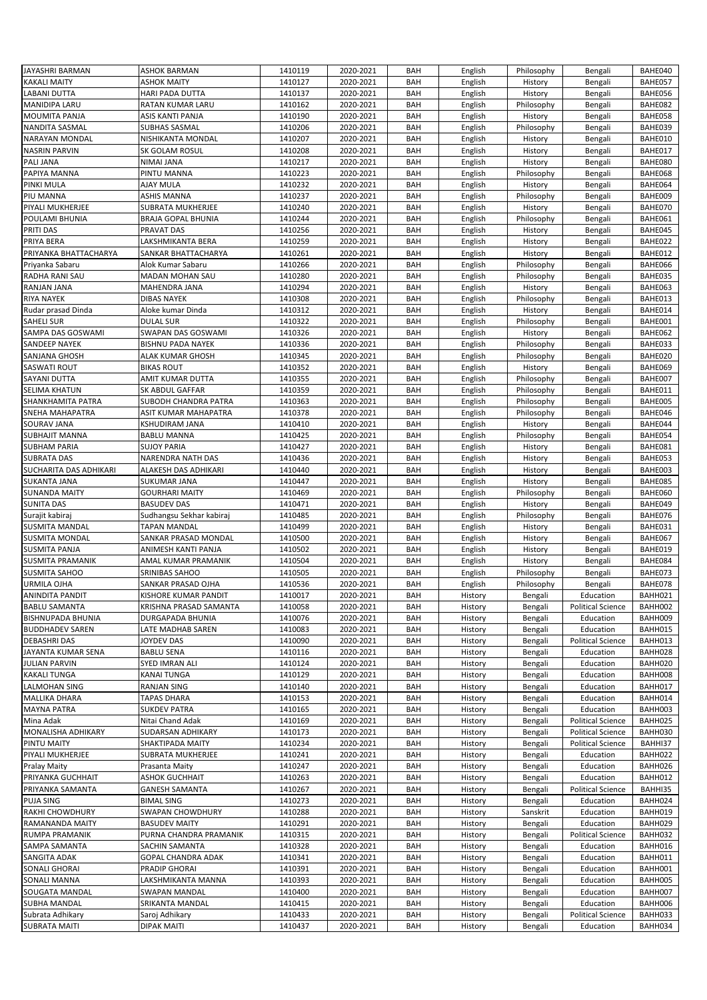| JAYASHRI BARMAN          | <b>ASHOK BARMAN</b>      | 1410119 | 2020-2021 | BAH | English | Philosophy            | Bengali                  | BAHE040 |
|--------------------------|--------------------------|---------|-----------|-----|---------|-----------------------|--------------------------|---------|
| <b>KAKALI MAITY</b>      | <b>ASHOK MAITY</b>       | 1410127 | 2020-2021 | BAH | English | History               | Bengali                  | BAHE057 |
| <b>LABANI DUTTA</b>      | <b>HARI PADA DUTTA</b>   | 1410137 | 2020-2021 | BAH | English | History               | Bengali                  | BAHE056 |
| <b>MANIDIPA LARU</b>     | <b>RATAN KUMAR LARU</b>  | 1410162 | 2020-2021 | BAH | English | Philosophy            | Bengali                  | BAHE082 |
| MOUMITA PANJA            | ASIS KANTI PANJA         | 1410190 | 2020-2021 | BAH | English | History               | Bengali                  | BAHE058 |
| NANDITA SASMAL           | SUBHAS SASMAL            | 1410206 | 2020-2021 | BAH | English | Philosophy            | Bengali                  | BAHE039 |
| <b>NARAYAN MONDAL</b>    | NISHIKANTA MONDAL        | 1410207 | 2020-2021 | BAH | English | History               | Bengali                  | BAHE010 |
| <b>NASRIN PARVIN</b>     | SK GOLAM ROSUL           | 1410208 | 2020-2021 | BAH | English | History               | Bengali                  | BAHE017 |
| PALI JANA                | NIMAI JANA               | 1410217 | 2020-2021 | BAH | English | History               | Bengali                  | BAHE080 |
| PAPIYA MANNA             | PINTU MANNA              | 1410223 | 2020-2021 | BAH |         | Philosophy            |                          | BAHE068 |
|                          |                          |         |           | BAH | English |                       | Bengali                  |         |
| PINKI MULA               | AJAY MULA                | 1410232 | 2020-2021 |     | English | History<br>Philosophy | Bengali                  | BAHE064 |
| PIU MANNA                | <b>ASHIS MANNA</b>       | 1410237 | 2020-2021 | BAH | English |                       | Bengali                  | BAHE009 |
| PIYALI MUKHERJEE         | SUBRATA MUKHERJEE        | 1410240 | 2020-2021 | BAH | English | History               | Bengali                  | BAHE070 |
| POULAMI BHUNIA           | BRAJA GOPAL BHUNIA       | 1410244 | 2020-2021 | BAH | English | Philosophy            | Bengali                  | BAHE061 |
| PRITI DAS                | PRAVAT DAS               | 1410256 | 2020-2021 | BAH | English | History               | Bengali                  | BAHE045 |
| PRIYA BERA               | LAKSHMIKANTA BERA        | 1410259 | 2020-2021 | BAH | English | History               | Bengali                  | BAHE022 |
| PRIYANKA BHATTACHARYA    | SANKAR BHATTACHARYA      | 1410261 | 2020-2021 | BAH | English | History               | Bengali                  | BAHE012 |
| Priyanka Sabaru          | Alok Kumar Sabaru        | 1410266 | 2020-2021 | BAH | English | Philosophy            | Bengali                  | BAHE066 |
| RADHA RANI SAU           | MADAN MOHAN SAU          | 1410280 | 2020-2021 | BAH | English | Philosophy            | Bengali                  | BAHE035 |
| RANJAN JANA              | MAHENDRA JANA            | 1410294 | 2020-2021 | BAH | English | History               | Bengali                  | BAHE063 |
| <b>RIYA NAYEK</b>        | <b>DIBAS NAYEK</b>       | 1410308 | 2020-2021 | BAH | English | Philosophy            | Bengali                  | BAHE013 |
| Rudar prasad Dinda       | Aloke kumar Dinda        | 1410312 | 2020-2021 | BAH | English | History               | Bengali                  | BAHE014 |
| <b>SAHELI SUR</b>        | <b>DULAL SUR</b>         | 1410322 | 2020-2021 | BAH | English | Philosophy            | Bengali                  | BAHE001 |
| SAMPA DAS GOSWAMI        | SWAPAN DAS GOSWAMI       | 1410326 | 2020-2021 | BAH | English | History               | Bengali                  | BAHE062 |
| SANDEEP NAYEK            | <b>BISHNU PADA NAYEK</b> | 1410336 | 2020-2021 | BAH | English | Philosophy            | Bengali                  | BAHE033 |
| SANJANA GHOSH            | ALAK KUMAR GHOSH         | 1410345 | 2020-2021 | BAH | English | Philosophy            | Bengali                  | BAHE020 |
| <b>SASWATI ROUT</b>      | <b>BIKAS ROUT</b>        | 1410352 | 2020-2021 | BAH | English | History               | Bengali                  | BAHE069 |
| <b>SAYANI DUTTA</b>      | AMIT KUMAR DUTTA         | 1410355 | 2020-2021 | BAH | English | Philosophy            | Bengali                  | BAHE007 |
| <b>SELIMA KHATUN</b>     | SK ABDUL GAFFAR          | 1410359 | 2020-2021 | BAH | English | Philosophy            | Bengali                  | BAHE011 |
| SHANKHAMITA PATRA        | SUBODH CHANDRA PATRA     | 1410363 | 2020-2021 | BAH | English | Philosophy            | Bengali                  | BAHE005 |
| SNEHA MAHAPATRA          | ASIT KUMAR MAHAPATRA     | 1410378 | 2020-2021 | BAH | English | Philosophy            | Bengali                  | BAHE046 |
| SOURAV JANA              | KSHUDIRAM JANA           | 1410410 | 2020-2021 | BAH | English | History               | Bengali                  | BAHE044 |
| <b>SUBHAJIT MANNA</b>    | <b>BABLU MANNA</b>       | 1410425 | 2020-2021 | BAH |         | Philosophy            |                          | BAHE054 |
|                          |                          |         |           |     | English |                       | Bengali                  |         |
| <b>SUBHAM PARIA</b>      | <b>SUJOY PARIA</b>       | 1410427 | 2020-2021 | BAH | English | History               | Bengali                  | BAHE081 |
| <b>SUBRATA DAS</b>       | NARENDRA NATH DAS        | 1410436 | 2020-2021 | BAH | English | History               | Bengali                  | BAHE053 |
| SUCHARITA DAS ADHIKARI   | ALAKESH DAS ADHIKARI     | 1410440 | 2020-2021 | BAH | English | History               | Bengali                  | BAHE003 |
| <b>SUKANTA JANA</b>      | <b>SUKUMAR JANA</b>      | 1410447 | 2020-2021 | BAH | English | History               | Bengali                  | BAHE085 |
| <b>SUNANDA MAITY</b>     | <b>GOURHARI MAITY</b>    | 1410469 | 2020-2021 | BAH | English | Philosophy            | Bengali                  | BAHE060 |
| <b>SUNITA DAS</b>        | <b>BASUDEV DAS</b>       | 1410471 | 2020-2021 | BAH | English | History               | Bengali                  | BAHE049 |
| Surajit kabiraj          | Sudhangsu Sekhar kabiraj | 1410485 | 2020-2021 | BAH | English | Philosophy            | Bengali                  | BAHE076 |
| <b>SUSMITA MANDAL</b>    | <b>TAPAN MANDAL</b>      | 1410499 | 2020-2021 | BAH | English | History               | Bengali                  | BAHE031 |
| <b>SUSMITA MONDAL</b>    | SANKAR PRASAD MONDAL     | 1410500 | 2020-2021 | BAH | English | History               | Bengali                  | BAHE067 |
| <b>SUSMITA PANJA</b>     | ANIMESH KANTI PANJA      | 1410502 | 2020-2021 | BAH | English | History               | Bengali                  | BAHE019 |
| <b>SUSMITA PRAMANIK</b>  | AMAL KUMAR PRAMANIK      | 1410504 | 2020-2021 | BAH | English | History               | Bengali                  | BAHE084 |
| <b>SUSMITA SAHOO</b>     | SRINIBAS SAHOO           | 1410505 | 2020-2021 | BAH | English | Philosophy            | Bengali                  | BAHE073 |
| URMILA OJHA              | SANKAR PRASAD OJHA       | 1410536 | 2020-2021 | BAH | English | Philosophy            | Bengali                  | BAHE078 |
| ANINDITA PANDIT          | KISHORE KUMAR PANDIT     | 1410017 | 2020-2021 | BAH | History | Bengali               | Education                | BAHH021 |
| <b>BABLU SAMANTA</b>     | KRISHNA PRASAD SAMANTA   | 1410058 | 2020-2021 | BAH | History | Bengali               | <b>Political Science</b> | BAHH002 |
| <b>BISHNUPADA BHUNIA</b> | DURGAPADA BHUNIA         | 1410076 | 2020-2021 | BAH | History | Bengali               | Education                | BAHH009 |
| <b>BUDDHADEV SAREN</b>   | LATE MADHAB SAREN        | 1410083 | 2020-2021 | BAH | History | Bengali               | Education                | BAHH015 |
| DEBASHRI DAS             | JOYDEV DAS               | 1410090 | 2020-2021 | BAH | History | Bengali               | <b>Political Science</b> | BAHH013 |
| JAYANTA KUMAR SENA       | <b>BABLU SENA</b>        | 1410116 | 2020-2021 | BAH | History | Bengali               | Education                | BAHH028 |
|                          |                          |         |           |     |         |                       |                          |         |
| <b>JULIAN PARVIN</b>     | SYED IMRAN ALI           | 1410124 | 2020-2021 | BAH | History | Bengali               | Education                | BAHH020 |
| <b>KAKALI TUNGA</b>      | KANAI TUNGA              | 1410129 | 2020-2021 | BAH | History | Bengali               | Education                | BAHH008 |
| LALMOHAN SING            | RANJAN SING              | 1410140 | 2020-2021 | BAH | History | Bengali               | Education                | BAHH017 |
| MALLIKA DHARA            | TAPAS DHARA              | 1410153 | 2020-2021 | BAH | History | Bengali               | Education                | BAHH014 |
| <b>MAYNA PATRA</b>       | <b>SUKDEV PATRA</b>      | 1410165 | 2020-2021 | BAH | History | Bengali               | Education                | BAHH003 |
| Mina Adak                | Nitai Chand Adak         | 1410169 | 2020-2021 | BAH | History | Bengali               | <b>Political Science</b> | BAHH025 |
| MONALISHA ADHIKARY       | SUDARSAN ADHIKARY        | 1410173 | 2020-2021 | BAH | History | Bengali               | <b>Political Science</b> | BAHH030 |
| PINTU MAITY              | SHAKTIPADA MAITY         | 1410234 | 2020-2021 | BAH | History | Bengali               | <b>Political Science</b> | BAHHI37 |
| PIYALI MUKHERJEE         | SUBRATA MUKHERJEE        | 1410241 | 2020-2021 | BAH | History | Bengali               | Education                | BAHH022 |
| <b>Pralay Maity</b>      | Prasanta Maity           | 1410247 | 2020-2021 | BAH | History | Bengali               | Education                | BAHH026 |
| PRIYANKA GUCHHAIT        | ASHOK GUCHHAIT           | 1410263 | 2020-2021 | BAH | History | Bengali               | Education                | BAHH012 |
| PRIYANKA SAMANTA         | GANESH SAMANTA           | 1410267 | 2020-2021 | BAH | History | Bengali               | <b>Political Science</b> | BAHHI35 |
| <b>PUJA SING</b>         | <b>BIMAL SING</b>        | 1410273 | 2020-2021 | BAH | History | Bengali               | Education                | BAHH024 |
| RAKHI CHOWDHURY          | SWAPAN CHOWDHURY         | 1410288 | 2020-2021 | BAH | History | Sanskrit              | Education                | BAHH019 |
| RAMANANDA MAITY          | <b>BASUDEV MAITY</b>     | 1410291 | 2020-2021 | BAH | History | Bengali               | Education                | BAHH029 |
| <b>RUMPA PRAMANIK</b>    | PURNA CHANDRA PRAMANIK   | 1410315 | 2020-2021 | BAH | History | Bengali               | <b>Political Science</b> | BAHH032 |
| SAMPA SAMANTA            | SACHIN SAMANTA           | 1410328 | 2020-2021 | BAH | History | Bengali               | Education                | BAHH016 |
| SANGITA ADAK             | GOPAL CHANDRA ADAK       | 1410341 | 2020-2021 | BAH | History | Bengali               | Education                | BAHH011 |
| SONALI GHORAI            | PRADIP GHORAI            | 1410391 | 2020-2021 | BAH | History | Bengali               | Education                | BAHH001 |
| SONALI MANNA             | LAKSHMIKANTA MANNA       | 1410393 | 2020-2021 | BAH | History | Bengali               | Education                | BAHH005 |
| SOUGATA MANDAL           | SWAPAN MANDAL            | 1410400 | 2020-2021 | BAH | History | Bengali               | Education                | BAHH007 |
| SUBHA MANDAL             | SRIKANTA MANDAL          | 1410415 | 2020-2021 | BAH | History | Bengali               | Education                | BAHH006 |
| Subrata Adhikary         | Saroj Adhikary           | 1410433 | 2020-2021 | BAH |         |                       | <b>Political Science</b> | BAHH033 |
|                          |                          |         |           |     | History | Bengali               |                          |         |
| <b>SUBRATA MAITI</b>     | <b>DIPAK MAITI</b>       | 1410437 | 2020-2021 | BAH | History | Bengali               | Education                | BAHH034 |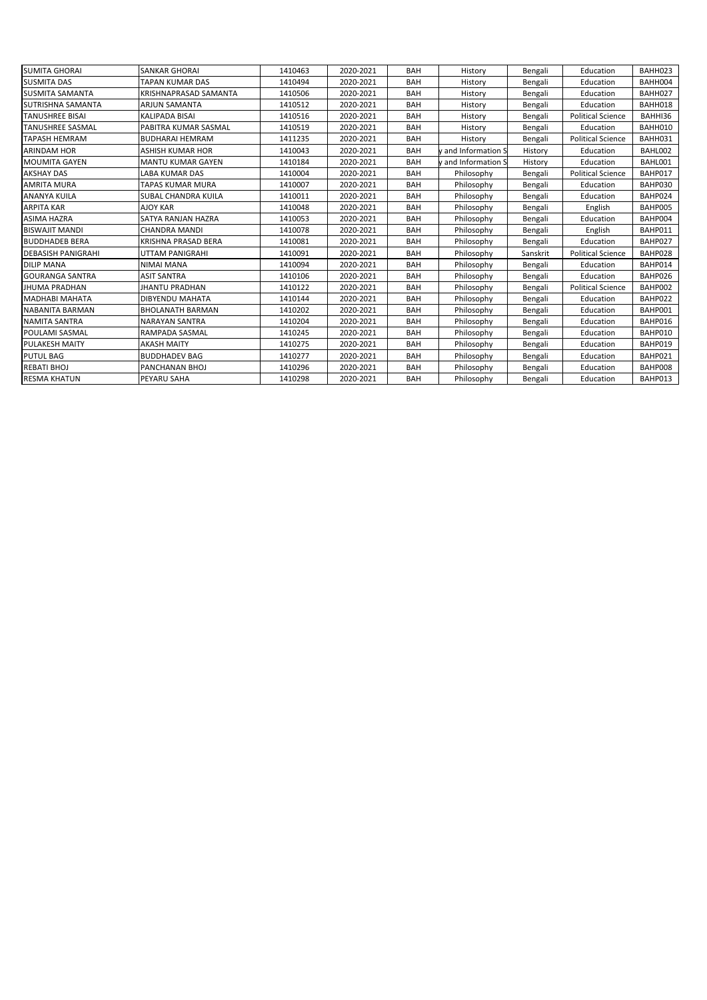| <b>SUMITA GHORAI</b>      | SANKAR GHORAI            | 1410463 | 2020-2021 | BAH        | History           | Bengali  | Education                | BAHH023 |
|---------------------------|--------------------------|---------|-----------|------------|-------------------|----------|--------------------------|---------|
| <b>SUSMITA DAS</b>        | TAPAN KUMAR DAS          | 1410494 | 2020-2021 | <b>BAH</b> | History           | Bengali  | Education                | BAHH004 |
| <b>SUSMITA SAMANTA</b>    | KRISHNAPRASAD SAMANTA    | 1410506 | 2020-2021 | BAH        | History           | Bengali  | Education                | BAHH027 |
| SUTRISHNA SAMANTA         | ARJUN SAMANTA            | 1410512 | 2020-2021 | BAH        | History           | Bengali  | Education                | BAHH018 |
| <b>TANUSHREE BISAI</b>    | <b>KALIPADA BISAI</b>    | 1410516 | 2020-2021 | <b>BAH</b> | History           | Bengali  | <b>Political Science</b> | BAHHI36 |
| <b>TANUSHREE SASMAL</b>   | PABITRA KUMAR SASMAL     | 1410519 | 2020-2021 | BAH        | History           | Bengali  | Education                | BAHH010 |
| <b>TAPASH HEMRAM</b>      | <b>BUDHARAI HEMRAM</b>   | 1411235 | 2020-2021 | BAH        | History           | Bengali  | <b>Political Science</b> | BAHH031 |
| <b>ARINDAM HOR</b>        | ASHISH KUMAR HOR         | 1410043 | 2020-2021 | BAH        | and Information S | History  | Education                | BAHL002 |
| <b>MOUMITA GAYEN</b>      | <b>MANTU KUMAR GAYEN</b> | 1410184 | 2020-2021 | <b>BAH</b> | and Information S | History  | Education                | BAHL001 |
| <b>AKSHAY DAS</b>         | <b>LABA KUMAR DAS</b>    | 1410004 | 2020-2021 | BAH        | Philosophy        | Bengali  | <b>Political Science</b> | BAHP017 |
| <b>AMRITA MURA</b>        | TAPAS KUMAR MURA         | 1410007 | 2020-2021 | BAH        | Philosophy        | Bengali  | Education                | BAHP030 |
| <b>ANANYA KUILA</b>       | SUBAL CHANDRA KUILA      | 1410011 | 2020-2021 | BAH        | Philosophy        | Bengali  | Education                | BAHP024 |
| <b>ARPITA KAR</b>         | <b>AJOY KAR</b>          | 1410048 | 2020-2021 | BAH        | Philosophy        | Bengali  | English                  | BAHP005 |
| <b>ASIMA HAZRA</b>        | SATYA RANJAN HAZRA       | 1410053 | 2020-2021 | BAH        | Philosophy        | Bengali  | Education                | BAHP004 |
| <b>BISWAJIT MANDI</b>     | <b>CHANDRA MANDI</b>     | 1410078 | 2020-2021 | BAH        | Philosophy        | Bengali  | English                  | BAHP011 |
| <b>BUDDHADEB BERA</b>     | KRISHNA PRASAD BERA      | 1410081 | 2020-2021 | <b>BAH</b> | Philosophy        | Bengali  | Education                | BAHP027 |
| <b>DEBASISH PANIGRAHI</b> | UTTAM PANIGRAHI          | 1410091 | 2020-2021 | BAH        | Philosophy        | Sanskrit | <b>Political Science</b> | BAHP028 |
| <b>DILIP MANA</b>         | <b>NIMAI MANA</b>        | 1410094 | 2020-2021 | BAH        | Philosophy        | Bengali  | Education                | BAHP014 |
| <b>GOURANGA SANTRA</b>    | <b>ASIT SANTRA</b>       | 1410106 | 2020-2021 | BAH        | Philosophy        | Bengali  | Education                | BAHP026 |
| <b>JHUMA PRADHAN</b>      | <b>JHANTU PRADHAN</b>    | 1410122 | 2020-2021 | <b>BAH</b> | Philosophy        | Bengali  | <b>Political Science</b> | BAHP002 |
| <b>MADHABI MAHATA</b>     | <b>DIBYENDU MAHATA</b>   | 1410144 | 2020-2021 | BAH        | Philosophy        | Bengali  | Education                | BAHP022 |
| <b>NABANITA BARMAN</b>    | <b>BHOLANATH BARMAN</b>  | 1410202 | 2020-2021 | BAH        | Philosophy        | Bengali  | Education                | BAHP001 |
| <b>NAMITA SANTRA</b>      | <b>NARAYAN SANTRA</b>    | 1410204 | 2020-2021 | BAH        | Philosophy        | Bengali  | Education                | BAHP016 |
| POULAMI SASMAL            | <b>RAMPADA SASMAL</b>    | 1410245 | 2020-2021 | BAH        | Philosophy        | Bengali  | Education                | BAHP010 |
| <b>PULAKESH MAITY</b>     | <b>AKASH MAITY</b>       | 1410275 | 2020-2021 | BAH        | Philosophy        | Bengali  | Education                | BAHP019 |
| <b>PUTUL BAG</b>          | <b>BUDDHADEV BAG</b>     | 1410277 | 2020-2021 | BAH        | Philosophy        | Bengali  | Education                | BAHP021 |
| REBATI BHOJ               | <b>PANCHANAN BHOJ</b>    | 1410296 | 2020-2021 | BAH        | Philosophy        | Bengali  | Education                | BAHP008 |
| <b>RESMA KHATUN</b>       | <b>PEYARU SAHA</b>       | 1410298 | 2020-2021 | <b>BAH</b> | Philosophy        | Bengali  | Education                | BAHP013 |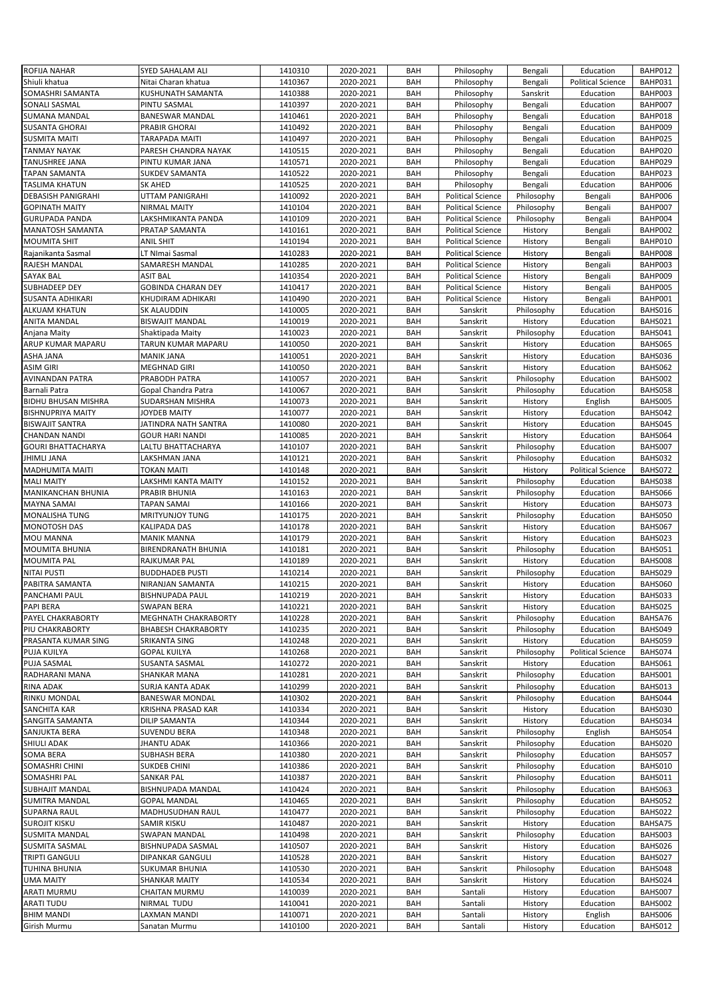| <b>ROFIJA NAHAR</b>               | SYED SAHALAM ALI              | 1410310            | 2020-2021              | BAH        | Philosophy               | Bengali            | Education                | BAHP012            |
|-----------------------------------|-------------------------------|--------------------|------------------------|------------|--------------------------|--------------------|--------------------------|--------------------|
| Shiuli khatua                     | Nitai Charan khatua           | 1410367            | 2020-2021              | BAH        | Philosophy               | Bengali            | <b>Political Science</b> | BAHP031            |
|                                   |                               |                    |                        |            |                          |                    |                          |                    |
| SOMASHRI SAMANTA                  | KUSHUNATH SAMANTA             | 1410388            | 2020-2021              | BAH        | Philosophy               | Sanskrit           | Education                | BAHP003            |
| SONALI SASMAL                     | PINTU SASMAL                  | 1410397            | 2020-2021              | BAH        | Philosophy               | Bengali            | Education                | BAHP007            |
| <b>SUMANA MANDAL</b>              | <b>BANESWAR MANDAL</b>        | 1410461            | 2020-2021              | <b>BAH</b> | Philosophy               | Bengali            | Education                | BAHP018            |
| <b>SUSANTA GHORAI</b>             | PRABIR GHORAI                 | 1410492            | 2020-2021              | BAH        | Philosophy               | Bengali            | Education                | BAHP009            |
| <b>SUSMITA MAITI</b>              | TARAPADA MAITI                | 1410497            | 2020-2021              | <b>BAH</b> | Philosophy               | Bengali            | Education                | BAHP025            |
| <b>TANMAY NAYAK</b>               | PARESH CHANDRA NAYAK          | 1410515            | 2020-2021              | BAH        | Philosophy               | Bengali            | Education                | BAHP020            |
| TANUSHREE JANA                    | PINTU KUMAR JANA              | 1410571            | 2020-2021              | BAH        | Philosophy               | Bengali            | Education                | BAHP029            |
|                                   |                               |                    |                        |            |                          |                    |                          |                    |
| <b>TAPAN SAMANTA</b>              | SUKDEV SAMANTA                | 1410522            | 2020-2021              | <b>BAH</b> | Philosophy               | Bengali            | Education                | BAHP023            |
| <b>TASLIMA KHATUN</b>             | SK AHED                       | 1410525            | 2020-2021              | BAH        | Philosophy               | Bengali            | Education                | BAHP006            |
| <b>DEBASISH PANIGRAHI</b>         | UTTAM PANIGRAHI               | 1410092            | 2020-2021              | BAH        | <b>Political Science</b> | Philosophy         | Bengali                  | BAHP006            |
| <b>GOPINATH MAITY</b>             | <b>NIRMAL MAITY</b>           | 1410104            | 2020-2021              | BAH        | <b>Political Science</b> | Philosophy         | Bengali                  | BAHP007            |
| <b>GURUPADA PANDA</b>             | LAKSHMIKANTA PANDA            | 1410109            | 2020-2021              | BAH        | <b>Political Science</b> | Philosophy         | Bengali                  | BAHP004            |
| MANATOSH SAMANTA                  | PRATAP SAMANTA                | 1410161            | 2020-2021              | <b>BAH</b> | <b>Political Science</b> | History            | Bengali                  | BAHP002            |
| <b>MOUMITA SHIT</b>               | ANIL SHIT                     | 1410194            | 2020-2021              | BAH        | <b>Political Science</b> | History            | Bengali                  | BAHP010            |
| Rajanikanta Sasmal                | LT NImai Sasmal               | 1410283            | 2020-2021              | BAH        | <b>Political Science</b> | History            | Bengali                  | BAHP008            |
| RAJESH MANDAL                     | SAMARESH MANDAL               | 1410285            | 2020-2021              | BAH        | <b>Political Science</b> | History            | Bengali                  | BAHP003            |
| SAYAK BAL                         | ASIT BAL                      | 1410354            | 2020-2021              | BAH        | <b>Political Science</b> | History            | Bengali                  | BAHP009            |
|                                   |                               |                    |                        |            |                          |                    |                          |                    |
| SUBHADEEP DEY                     | <b>GOBINDA CHARAN DEY</b>     | 1410417            | 2020-2021              | <b>BAH</b> | <b>Political Science</b> | History            | Bengali                  | BAHP005            |
| SUSANTA ADHIKARI                  | KHUDIRAM ADHIKARI             | 1410490            | 2020-2021              | BAH        | <b>Political Science</b> | History            | Bengali                  | BAHP001            |
| ALKUAM KHATUN                     | SK ALAUDDIN                   | 1410005            | 2020-2021              | BAH        | Sanskrit                 | Philosophy         | Education                | BAHS016            |
| <b>ANITA MANDAL</b>               | <b>BISWAJIT MANDAL</b>        | 1410019            | 2020-2021              | BAH        | Sanskrit                 | History            | Education                | BAHS021            |
| Anjana Maity                      | Shaktipada Maity              | 1410023            | 2020-2021              | BAH        | Sanskrit                 | Philosophy         | Education                | BAHS041            |
| ARUP KUMAR MAPARU                 | TARUN KUMAR MAPARU            | 1410050            | 2020-2021              | <b>BAH</b> | Sanskrit                 | History            | Education                | <b>BAHS065</b>     |
| ASHA JANA                         | <b>MANIK JANA</b>             | 1410051            | 2020-2021              | <b>BAH</b> | Sanskrit                 | History            | Education                | BAHS036            |
| <b>ASIM GIRI</b>                  | <b>MEGHNAD GIRI</b>           | 1410050            | 2020-2021              | <b>BAH</b> | Sanskrit                 | History            | Education                | BAHS062            |
| <b>AVINANDAN PATRA</b>            | PRABODH PATRA                 | 1410057            | 2020-2021              | BAH        | Sanskrit                 | Philosophy         | Education                | BAHS002            |
| Barnali Patra                     | Gopal Chandra Patra           | 1410067            | 2020-2021              | BAH        | Sanskrit                 | Philosophy         | Education                | BAHS058            |
|                                   |                               |                    |                        | <b>BAH</b> |                          |                    |                          | BAHS005            |
| <b>BIDHU BHUSAN MISHRA</b>        | SUDARSHAN MISHRA              | 1410073            | 2020-2021              |            | Sanskrit                 | History            | English                  |                    |
| <b>BISHNUPRIYA MAITY</b>          | JOYDEB MAITY                  | 1410077            | 2020-2021              | BAH        | Sanskrit                 | History            | Education                | BAHS042            |
| <b>BISWAJIT SANTRA</b>            | JATINDRA NATH SANTRA          | 1410080            | 2020-2021              | BAH        | Sanskrit                 | History            | Education                | BAHS045            |
| <b>CHANDAN NANDI</b>              | <b>GOUR HARI NANDI</b>        | 1410085            | 2020-2021              | BAH        | Sanskrit                 | History            | Education                | BAHS064            |
| <b>GOURI BHATTACHARYA</b>         | LALTU BHATTACHARYA            | 1410107            | 2020-2021              | BAH        | Sanskrit                 | Philosophy         | Education                | BAHS007            |
| <b>JHIMLI JANA</b>                | LAKSHMAN JANA                 | 1410121            | 2020-2021              | <b>BAH</b> | Sanskrit                 | Philosophy         | Education                | BAHS032            |
| <b>MADHUMITA MAITI</b>            | TOKAN MAITI                   | 1410148            | 2020-2021              | BAH        | Sanskrit                 | History            | <b>Political Science</b> | BAHS072            |
| <b>MALI MAITY</b>                 | LAKSHMI KANTA MAITY           | 1410152            | 2020-2021              | BAH        | Sanskrit                 | Philosophy         | Education                | BAHS038            |
| MANIKANCHAN BHUNIA                | PRABIR BHUNIA                 | 1410163            | 2020-2021              | BAH        | Sanskrit                 | Philosophy         | Education                | BAHS066            |
|                                   |                               |                    |                        |            |                          |                    |                          |                    |
|                                   |                               |                    |                        |            |                          |                    |                          |                    |
| MAYNA SAMAI                       | TAPAN SAMAI                   | 1410166            | 2020-2021              | BAH        | Sanskrit                 | History            | Education                | BAHS073            |
| MONALISHA TUNG                    | MRITYUNJOY TUNG               | 1410175            | 2020-2021              | <b>BAH</b> | Sanskrit                 | Philosophy         | Education                | BAHS050            |
| MONOTOSH DAS                      | KALIPADA DAS                  | 1410178            | 2020-2021              | BAH        | Sanskrit                 | History            | Education                | BAHS067            |
| MOU MANNA                         | <b>MANIK MANNA</b>            | 1410179            | 2020-2021              | BAH        | Sanskrit                 | History            | Education                | BAHS023            |
| <b>MOUMITA BHUNIA</b>             | BIRENDRANATH BHUNIA           | 1410181            | 2020-2021              | BAH        | Sanskrit                 | Philosophy         | Education                | BAHS051            |
| <b>MOUMITA PAL</b>                | RAJKUMAR PAL                  | 1410189            | 2020-2021              | BAH        | Sanskrit                 | History            | Education                | BAHS008            |
| <b>NITAI PUSTI</b>                | <b>BUDDHADEB PUSTI</b>        | 1410214            | 2020-2021              | BAH        | Sanskrit                 | Philosophy         | Education                | BAHS029            |
| PABITRA SAMANTA                   | NIRANJAN SAMANTA              | 1410215            | 2020-2021              | BAH        | Sanskrit                 | History            | Education                | BAHS060            |
|                                   | <b>BISHNUPADA PAUL</b>        | 1410219            | 2020-2021              | BAH        | Sanskrit                 |                    | Education                | BAHS033            |
| PANCHAMI PAUL<br>PAPI BERA        | SWAPAN BERA                   | 1410221            | 2020-2021              | BAH        | Sanskrit                 | History<br>History | Education                | BAHS025            |
|                                   |                               |                    |                        |            |                          |                    |                          |                    |
| PAYEL CHAKRABORTY                 | MEGHNATH CHAKRABORTY          | 1410228            | 2020-2021              | BAH        | Sanskrit                 | Philosophy         | Education                | BAHSA76            |
| PIU CHAKRABORTY                   | <b>BHABESH CHAKRABORTY</b>    | 1410235            | 2020-2021              | BAH        | Sanskrit                 | Philosophy         | Education                | BAHS049            |
| PRASANTA KUMAR SING               | SRIKANTA SING                 | 1410248            | 2020-2021              | BAH        | Sanskrit                 | History            | Education                | BAHS059            |
| PUJA KUILYA                       | <b>GOPAL KUILYA</b>           | 1410268            | 2020-2021              | BAH        | Sanskrit                 | Philosophy         | <b>Political Science</b> | BAHS074            |
| PUJA SASMAL                       | SUSANTA SASMAL                | 1410272            | 2020-2021              | BAH        | Sanskrit                 | History            | Education                | BAHS061            |
| RADHARANI MANA                    | SHANKAR MANA                  | 1410281            | 2020-2021              | BAH        | Sanskrit                 | Philosophy         | Education                | BAHS001            |
| RINA ADAK                         | SURJA KANTA ADAK              | 1410299            | 2020-2021              | BAH        | Sanskrit                 | Philosophy         | Education                | BAHS013            |
| RINKU MONDAL                      | <b>BANESWAR MONDAL</b>        | 1410302            | 2020-2021              | BAH        | Sanskrit                 | Philosophy         | Education                | BAHS044            |
| SANCHITA KAR                      | KRISHNA PRASAD KAR            | 1410334            | 2020-2021              | BAH        | Sanskrit                 | History            | Education                | BAHS030            |
| SANGITA SAMANTA                   | DILIP SAMANTA                 | 1410344            | 2020-2021              | BAH        | Sanskrit                 | History            | Education                | BAHS034            |
| SANJUKTA BERA                     | SUVENDU BERA                  | 1410348            | 2020-2021              | BAH        | Sanskrit                 | Philosophy         | English                  | BAHS054            |
| SHIULI ADAK                       | <b>JHANTU ADAK</b>            | 1410366            | 2020-2021              | BAH        | Sanskrit                 | Philosophy         | Education                | BAHS020            |
|                                   |                               |                    |                        |            |                          |                    |                          |                    |
| SOMA BERA                         | SUBHASH BERA                  | 1410380            | 2020-2021              | BAH        | Sanskrit                 | Philosophy         | Education                | BAHS057            |
| SOMASHRI CHINI                    | SUKDEB CHINI                  | 1410386            | 2020-2021              | BAH        | Sanskrit                 | Philosophy         | Education                | BAHS010            |
| SOMASHRI PAL                      | SANKAR PAL                    | 1410387            | 2020-2021              | BAH        | Sanskrit                 | Philosophy         | Education                | BAHS011            |
| SUBHAJIT MANDAL                   | BISHNUPADA MANDAL             | 1410424            | 2020-2021              | BAH        | Sanskrit                 | Philosophy         | Education                | BAHS063            |
| <b>SUMITRA MANDAL</b>             | <b>GOPAL MANDAL</b>           | 1410465            | 2020-2021              | BAH        | Sanskrit                 | Philosophy         | Education                | BAHS052            |
| <b>SUPARNA RAUL</b>               | MADHUSUDHAN RAUL              | 1410477            | 2020-2021              | BAH        | Sanskrit                 | Philosophy         | Education                | BAHS022            |
| <b>SUROJIT KISKU</b>              | SAMIR KISKU                   | 1410487            | 2020-2021              | BAH        | Sanskrit                 | History            | Education                | BAHSA75            |
| <b>SUSMITA MANDAL</b>             | SWAPAN MANDAL                 | 1410498            | 2020-2021              | BAH        | Sanskrit                 | Philosophy         | Education                | BAHS003            |
| SUSMITA SASMAL                    | BISHNUPADA SASMAL             | 1410507            | 2020-2021              | BAH        | Sanskrit                 | History            | Education                | BAHS026            |
| <b>TRIPTI GANGULI</b>             | <b>DIPANKAR GANGULI</b>       | 1410528            | 2020-2021              | BAH        | Sanskrit                 | History            | Education                | BAHS027            |
| TUHINA BHUNIA                     | SUKUMAR BHUNIA                | 1410530            | 2020-2021              | BAH        | Sanskrit                 | Philosophy         | Education                | BAHS048            |
| <b>UMA MAITY</b>                  | <b>SHANKAR MAITY</b>          | 1410534            | 2020-2021              | BAH        | Sanskrit                 | History            | Education                | BAHS024            |
| ARATI MURMU                       | CHAITAN MURMU                 | 1410039            | 2020-2021              | BAH        | Santali                  | History            | Education                | BAHS007            |
|                                   |                               |                    |                        |            |                          |                    |                          |                    |
| ARATI TUDU                        | NIRMAL TUDU                   | 1410041            | 2020-2021              | BAH        | Santali                  | History            | Education                | BAHS002            |
| <b>BHIM MANDI</b><br>Girish Murmu | LAXMAN MANDI<br>Sanatan Murmu | 1410071<br>1410100 | 2020-2021<br>2020-2021 | BAH<br>BAH | Santali<br>Santali       | History<br>History | English<br>Education     | BAHS006<br>BAHS012 |